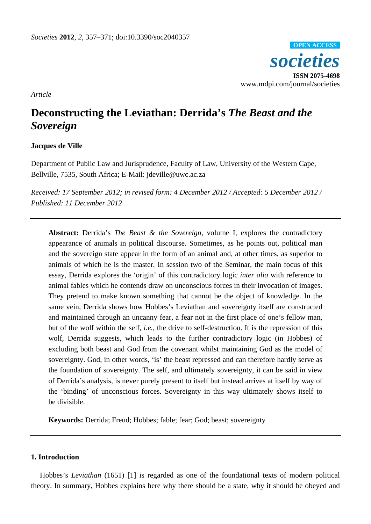*societies* **ISSN 2075-4698**  www.mdpi.com/journal/societies **OPEN ACCESS**

*Article* 

# **Deconstructing the Leviathan: Derrida's** *The Beast and the Sovereign*

# **Jacques de Ville**

Department of Public Law and Jurisprudence, Faculty of Law, University of the Western Cape, Bellville, 7535, South Africa; E-Mail: jdeville@uwc.ac.za

*Received: 17 September 2012; in revised form: 4 December 2012 / Accepted: 5 December 2012 / Published: 11 December 2012* 

**Abstract:** Derrida's *The Beast & the Sovereign*, volume I, explores the contradictory appearance of animals in political discourse. Sometimes, as he points out, political man and the sovereign state appear in the form of an animal and, at other times, as superior to animals of which he is the master. In session two of the Seminar, the main focus of this essay, Derrida explores the 'origin' of this contradictory logic *inter alia* with reference to animal fables which he contends draw on unconscious forces in their invocation of images. They pretend to make known something that cannot be the object of knowledge. In the same vein, Derrida shows how Hobbes's Leviathan and sovereignty itself are constructed and maintained through an uncanny fear, a fear not in the first place of one's fellow man, but of the wolf within the self, *i.e.*, the drive to self-destruction. It is the repression of this wolf, Derrida suggests, which leads to the further contradictory logic (in Hobbes) of excluding both beast and God from the covenant whilst maintaining God as the model of sovereignty. God, in other words, 'is' the beast repressed and can therefore hardly serve as the foundation of sovereignty. The self, and ultimately sovereignty, it can be said in view of Derrida's analysis, is never purely present to itself but instead arrives at itself by way of the 'binding' of unconscious forces. Sovereignty in this way ultimately shows itself to be divisible.

**Keywords:** Derrida; Freud; Hobbes; fable; fear; God; beast; sovereignty

## **1. Introduction**

Hobbes's *Leviathan* (1651) [1] is regarded as one of the foundational texts of modern political theory. In summary, Hobbes explains here why there should be a state, why it should be obeyed and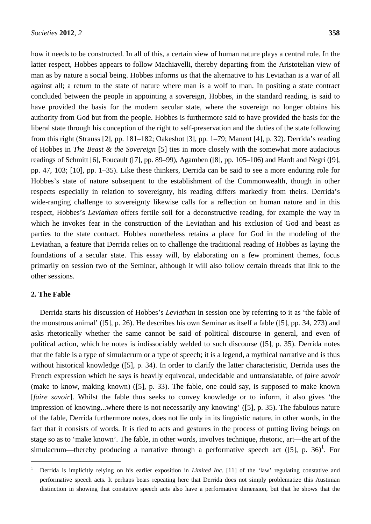how it needs to be constructed. In all of this, a certain view of human nature plays a central role. In the latter respect, Hobbes appears to follow Machiavelli, thereby departing from the Aristotelian view of man as by nature a social being. Hobbes informs us that the alternative to his Leviathan is a war of all against all; a return to the state of nature where man is a wolf to man. In positing a state contract concluded between the people in appointing a sovereign, Hobbes, in the standard reading, is said to have provided the basis for the modern secular state, where the sovereign no longer obtains his authority from God but from the people. Hobbes is furthermore said to have provided the basis for the liberal state through his conception of the right to self-preservation and the duties of the state following from this right (Strauss [2], pp. 181–182; Oakeshot [3], pp. 1–79; Manent [4], p. 32). Derrida's reading of Hobbes in *The Beast & the Sovereign* [5] ties in more closely with the somewhat more audacious readings of Schmitt [6], Foucault ([7], pp. 89–99), Agamben ([8], pp. 105–106) and Hardt and Negri ([9], pp. 47, 103; [10], pp. 1–35). Like these thinkers, Derrida can be said to see a more enduring role for Hobbes's state of nature subsequent to the establishment of the Commonwealth, though in other respects especially in relation to sovereignty, his reading differs markedly from theirs. Derrida's wide-ranging challenge to sovereignty likewise calls for a reflection on human nature and in this respect, Hobbes's *Leviathan* offers fertile soil for a deconstructive reading, for example the way in which he invokes fear in the construction of the Leviathan and his exclusion of God and beast as parties to the state contract. Hobbes nonetheless retains a place for God in the modeling of the Leviathan, a feature that Derrida relies on to challenge the traditional reading of Hobbes as laying the foundations of a secular state. This essay will, by elaborating on a few prominent themes, focus primarily on session two of the Seminar, although it will also follow certain threads that link to the other sessions.

## **2. The Fable**

Derrida starts his discussion of Hobbes's *Leviathan* in session one by referring to it as 'the fable of the monstrous animal' ([5], p. 26). He describes his own Seminar as itself a fable ([5], pp. 34, 273) and asks rhetorically whether the same cannot be said of political discourse in general, and even of political action, which he notes is indissociably welded to such discourse ([5], p. 35). Derrida notes that the fable is a type of simulacrum or a type of speech; it is a legend, a mythical narrative and is thus without historical knowledge ([5], p. 34). In order to clarify the latter characteristic, Derrida uses the French expression which he says is heavily equivocal, undecidable and untranslatable, of *faire savoir* (make to know, making known) ([5], p. 33). The fable, one could say, is supposed to make known [*faire savoir*]. Whilst the fable thus seeks to convey knowledge or to inform, it also gives 'the impression of knowing...where there is not necessarily any knowing' ([5], p. 35). The fabulous nature of the fable, Derrida furthermore notes, does not lie only in its linguistic nature, in other words, in the fact that it consists of words. It is tied to acts and gestures in the process of putting living beings on stage so as to 'make known'. The fable, in other words, involves technique, rhetoric, art—the art of the simulacrum—thereby producing a narrative through a performative speech act ([5], p. 36)<sup>1</sup>. For

<sup>1</sup> Derrida is implicitly relying on his earlier exposition in *Limited Inc*. [11] of the 'law' regulating constative and performative speech acts. It perhaps bears repeating here that Derrida does not simply problematize this Austinian distinction in showing that constative speech acts also have a performative dimension, but that he shows that the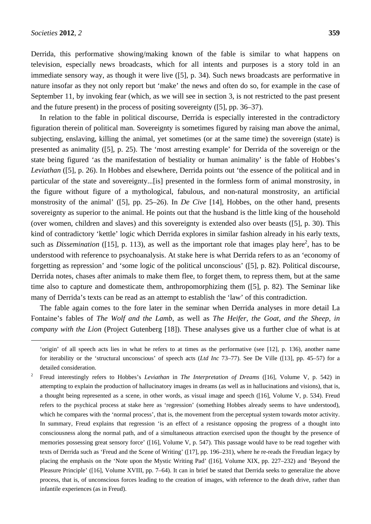Derrida, this performative showing/making known of the fable is similar to what happens on television, especially news broadcasts, which for all intents and purposes is a story told in an immediate sensory way, as though it were live ([5], p. 34). Such news broadcasts are performative in nature insofar as they not only report but 'make' the news and often do so, for example in the case of September 11, by invoking fear (which, as we will see in section 3, is not restricted to the past present and the future present) in the process of positing sovereignty ([5], pp. 36–37).

In relation to the fable in political discourse, Derrida is especially interested in the contradictory figuration therein of political man. Sovereignty is sometimes figured by raising man above the animal, subjecting, enslaving, killing the animal, yet sometimes (or at the same time) the sovereign (state) is presented as animality ([5], p. 25). The 'most arresting example' for Derrida of the sovereign or the state being figured 'as the manifestation of bestiality or human animality' is the fable of Hobbes's *Leviathan* ([5], p. 26). In Hobbes and elsewhere, Derrida points out 'the essence of the political and in particular of the state and sovereignty...[is] presented in the formless form of animal monstrosity, in the figure without figure of a mythological, fabulous, and non-natural monstrosity, an artificial monstrosity of the animal' ([5], pp. 25–26). In *De Cive* [14], Hobbes, on the other hand, presents sovereignty as superior to the animal. He points out that the husband is the little king of the household (over women, children and slaves) and this sovereignty is extended also over beasts ([5], p. 30). This kind of contradictory 'kettle' logic which Derrida explores in similar fashion already in his early texts, such as *Dissemination* ([15], p. 113), as well as the important role that images play here<sup>2</sup>, has to be understood with reference to psychoanalysis. At stake here is what Derrida refers to as an 'economy of forgetting as repression' and 'some logic of the political unconscious' ([5], p. 82). Political discourse, Derrida notes, chases after animals to make them flee, to forget them, to repress them, but at the same time also to capture and domesticate them, anthropomorphizing them ([5], p. 82). The Seminar like many of Derrida's texts can be read as an attempt to establish the 'law' of this contradiction.

The fable again comes to the fore later in the seminar when Derrida analyses in more detail La Fontaine's fables of *The Wolf and the Lamb*, as well as *The Heifer, the Goat, and the Sheep, in company with the Lion* (Project Gutenberg [18]). These analyses give us a further clue of what is at

<u> 1989 - Andrea Santa Andrea Andrea Andrea Andrea Andrea Andrea Andrea Andrea Andrea Andrea Andrea Andrea Andr</u>

<sup>&#</sup>x27;origin' of all speech acts lies in what he refers to at times as the performative (see [12], p. 136), another name for iterability or the 'structural unconscious' of speech acts (*Ltd Inc* 73–77). See De Ville ([13], pp. 45–57) for a detailed consideration.

<sup>2</sup> Freud interestingly refers to Hobbes's *Leviathan* in *The Interpretation of Dreams* ([16], Volume V, p. 542) in attempting to explain the production of hallucinatory images in dreams (as well as in hallucinations and visions), that is, a thought being represented as a scene, in other words, as visual image and speech ([16], Volume V, p. 534). Freud refers to the psychical process at stake here as 'regression' (something Hobbes already seems to have understood), which he compares with the 'normal process', that is, the movement from the perceptual system towards motor activity. In summary, Freud explains that regression 'is an effect of a resistance opposing the progress of a thought into consciousness along the normal path, and of a simultaneous attraction exercised upon the thought by the presence of memories possessing great sensory force' ([16], Volume V, p. 547). This passage would have to be read together with texts of Derrida such as 'Freud and the Scene of Writing' ([17], pp. 196–231), where he re-reads the Freudian legacy by placing the emphasis on the 'Note upon the Mystic Writing Pad' ([16], Volume XIX, pp. 227–232) and 'Beyond the Pleasure Principle' ([16], Volume XVIII, pp. 7–64). It can in brief be stated that Derrida seeks to generalize the above process, that is, of unconscious forces leading to the creation of images, with reference to the death drive, rather than infantile experiences (as in Freud).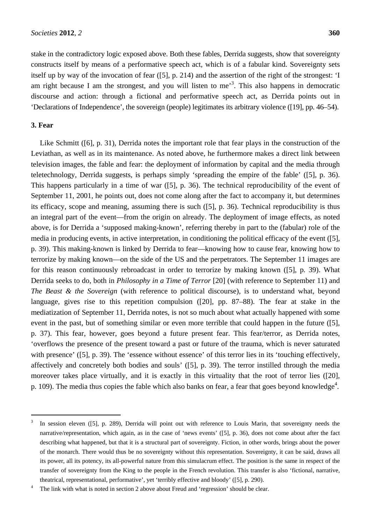stake in the contradictory logic exposed above. Both these fables, Derrida suggests, show that sovereignty constructs itself by means of a performative speech act, which is of a fabular kind. Sovereignty sets itself up by way of the invocation of fear ([5], p. 214) and the assertion of the right of the strongest: 'I am right because I am the strongest, and you will listen to me<sup>3</sup>. This also happens in democratic discourse and action: through a fictional and performative speech act, as Derrida points out in 'Declarations of Independence', the sovereign (people) legitimates its arbitrary violence ([19], pp. 46–54).

## **3. Fear**

Like Schmitt ([6], p. 31), Derrida notes the important role that fear plays in the construction of the Leviathan, as well as in its maintenance. As noted above, he furthermore makes a direct link between television images, the fable and fear: the deployment of information by capital and the media through teletechnology, Derrida suggests, is perhaps simply 'spreading the empire of the fable' ([5], p. 36). This happens particularly in a time of war ([5], p. 36). The technical reproducibility of the event of September 11, 2001, he points out, does not come along after the fact to accompany it, but determines its efficacy, scope and meaning, assuming there is such ([5], p. 36). Technical reproducibility is thus an integral part of the event—from the origin on already. The deployment of image effects, as noted above, is for Derrida a 'supposed making-known', referring thereby in part to the (fabular) role of the media in producing events, in active interpretation, in conditioning the political efficacy of the event ([5], p. 39). This making-known is linked by Derrida to fear—knowing how to cause fear, knowing how to terrorize by making known—on the side of the US and the perpetrators. The September 11 images are for this reason continuously rebroadcast in order to terrorize by making known ([5], p. 39). What Derrida seeks to do, both in *Philosophy in a Time of Terror* [20] (with reference to September 11) and *The Beast & the Sovereign* (with reference to political discourse), is to understand what, beyond language, gives rise to this repetition compulsion ([20], pp. 87–88). The fear at stake in the mediatization of September 11, Derrida notes, is not so much about what actually happened with some event in the past, but of something similar or even more terrible that could happen in the future ([5], p. 37). This fear, however, goes beyond a future present fear. This fear/terror, as Derrida notes, 'overflows the presence of the present toward a past or future of the trauma, which is never saturated with presence' ([5], p. 39). The 'essence without essence' of this terror lies in its 'touching effectively, affectively and concretely both bodies and souls' ([5], p. 39). The terror instilled through the media moreover takes place virtually, and it is exactly in this virtuality that the root of terror lies ([20], p. 109). The media thus copies the fable which also banks on fear, a fear that goes beyond knowledge<sup>4</sup>.

<sup>3</sup> In session eleven ([5], p. 289), Derrida will point out with reference to Louis Marin, that sovereignty needs the narrative/representation, which again, as in the case of 'news events' ([5], p. 36), does not come about after the fact describing what happened, but that it is a structural part of sovereignty. Fiction, in other words, brings about the power of the monarch. There would thus be no sovereignty without this representation. Sovereignty, it can be said, draws all its power, all its potency, its all-powerful nature from this simulacrum effect. The position is the same in respect of the transfer of sovereignty from the King to the people in the French revolution. This transfer is also 'fictional, narrative, theatrical, representational, performative', yet 'terribly effective and bloody' ([5], p. 290).

<sup>4</sup> The link with what is noted in section 2 above about Freud and 'regression' should be clear.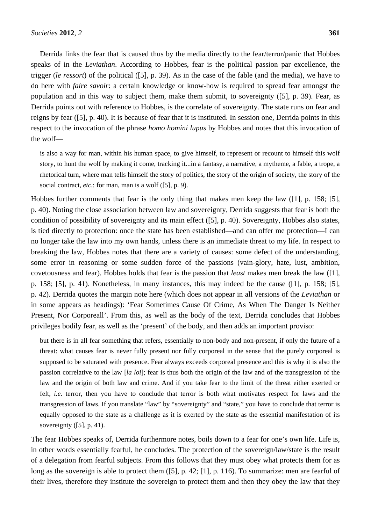Derrida links the fear that is caused thus by the media directly to the fear/terror/panic that Hobbes speaks of in the *Leviathan*. According to Hobbes, fear is the political passion par excellence, the trigger (*le ressort*) of the political ([5], p. 39). As in the case of the fable (and the media), we have to do here with *faire savoir*: a certain knowledge or know-how is required to spread fear amongst the population and in this way to subject them, make them submit, to sovereignty ([5], p. 39). Fear, as Derrida points out with reference to Hobbes, is the correlate of sovereignty. The state runs on fear and reigns by fear ([5], p. 40). It is because of fear that it is instituted. In session one, Derrida points in this respect to the invocation of the phrase *homo homini lupus* by Hobbes and notes that this invocation of the wolf—

is also a way for man, within his human space, to give himself, to represent or recount to himself this wolf story, to hunt the wolf by making it come, tracking it...in a fantasy, a narrative, a mytheme, a fable, a trope, a rhetorical turn, where man tells himself the story of politics, the story of the origin of society, the story of the social contract, *etc*.: for man, man is a wolf ([5], p. 9).

Hobbes further comments that fear is the only thing that makes men keep the law ([1], p. 158; [5], p. 40). Noting the close association between law and sovereignty, Derrida suggests that fear is both the condition of possibility of sovereignty and its main effect ([5], p. 40). Sovereignty, Hobbes also states, is tied directly to protection: once the state has been established—and can offer me protection—I can no longer take the law into my own hands, unless there is an immediate threat to my life. In respect to breaking the law, Hobbes notes that there are a variety of causes: some defect of the understanding, some error in reasoning or some sudden force of the passions (vain-glory, hate, lust, ambition, covetousness and fear). Hobbes holds that fear is the passion that *least* makes men break the law ([1], p. 158; [5], p. 41). Nonetheless, in many instances, this may indeed be the cause ([1], p. 158; [5], p. 42). Derrida quotes the margin note here (which does not appear in all versions of the *Leviathan* or in some appears as headings): 'Fear Sometimes Cause Of Crime, As When The Danger Is Neither Present, Nor Corporeall'. From this, as well as the body of the text, Derrida concludes that Hobbes privileges bodily fear, as well as the 'present' of the body, and then adds an important proviso:

but there is in all fear something that refers, essentially to non-body and non-present, if only the future of a threat: what causes fear is never fully present nor fully corporeal in the sense that the purely corporeal is supposed to be saturated with presence. Fear always exceeds corporeal presence and this is why it is also the passion correlative to the law [*la loi*]; fear is thus both the origin of the law and of the transgression of the law and the origin of both law and crime. And if you take fear to the limit of the threat either exerted or felt, *i.e*. terror, then you have to conclude that terror is both what motivates respect for laws and the transgression of laws. If you translate "law" by "sovereignty" and "state," you have to conclude that terror is equally opposed to the state as a challenge as it is exerted by the state as the essential manifestation of its sovereignty  $([5], p. 41)$ .

The fear Hobbes speaks of, Derrida furthermore notes, boils down to a fear for one's own life. Life is, in other words essentially fearful, he concludes. The protection of the sovereign/law/state is the result of a delegation from fearful subjects. From this follows that they must obey what protects them for as long as the sovereign is able to protect them ([5], p. 42; [1], p. 116). To summarize: men are fearful of their lives, therefore they institute the sovereign to protect them and then they obey the law that they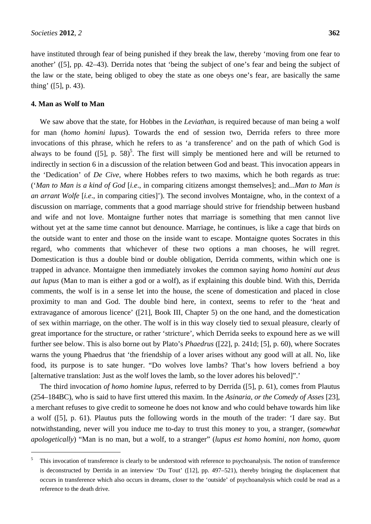have instituted through fear of being punished if they break the law, thereby 'moving from one fear to another' ([5], pp. 42–43). Derrida notes that 'being the subject of one's fear and being the subject of the law or the state, being obliged to obey the state as one obeys one's fear, are basically the same thing' ([5], p. 43).

## **4. Man as Wolf to Man**

We saw above that the state, for Hobbes in the *Leviathan*, is required because of man being a wolf for man (*homo homini lupus*). Towards the end of session two, Derrida refers to three more invocations of this phrase, which he refers to as 'a transference' and on the path of which God is always to be found ([5], p. 58)<sup>5</sup>. The first will simply be mentioned here and will be returned to indirectly in section 6 in a discussion of the relation between God and beast. This invocation appears in the 'Dedication' of *De Cive*, where Hobbes refers to two maxims, which he both regards as true: ('*Man to Man is a kind of God* [*i.e*., in comparing citizens amongst themselves]; and...*Man to Man is an arrant Wolfe* [*i.e*., in comparing cities]'). The second involves Montaigne, who, in the context of a discussion on marriage, comments that a good marriage should strive for friendship between husband and wife and not love. Montaigne further notes that marriage is something that men cannot live without yet at the same time cannot but denounce. Marriage, he continues, is like a cage that birds on the outside want to enter and those on the inside want to escape. Montaigne quotes Socrates in this regard, who comments that whichever of these two options a man chooses, he will regret. Domestication is thus a double bind or double obligation, Derrida comments, within which one is trapped in advance. Montaigne then immediately invokes the common saying *homo homini aut deus aut lupus* (Man to man is either a god or a wolf), as if explaining this double bind. With this, Derrida comments, the wolf is in a sense let into the house, the scene of domestication and placed in close proximity to man and God. The double bind here, in context, seems to refer to the 'heat and extravagance of amorous licence' ([21], Book III, Chapter 5) on the one hand, and the domestication of sex within marriage, on the other. The wolf is in this way closely tied to sexual pleasure, clearly of great importance for the structure, or rather 'stricture', which Derrida seeks to expound here as we will further see below. This is also borne out by Plato's *Phaedrus* ([22], p. 241d; [5], p. 60), where Socrates warns the young Phaedrus that 'the friendship of a lover arises without any good will at all. No, like food, its purpose is to sate hunger. "Do wolves love lambs? That's how lovers befriend a boy [alternative translation: Just as the wolf loves the lamb, so the lover adores his beloved]".'

The third invocation *of homo homine lupus*, referred to by Derrida ([5], p. 61), comes from Plautus (254–184BC), who is said to have first uttered this maxim. In the *Asinaria, or the Comedy of Asses* [23], a merchant refuses to give credit to someone he does not know and who could behave towards him like a wolf ([5], p. 61). Plautus puts the following words in the mouth of the trader: 'I dare say. But notwithstanding, never will you induce me to-day to trust this money to you, a stranger, (*somewhat apologetically*) "Man is no man, but a wolf, to a stranger" (*lupus est homo homini, non homo, quom* 

<sup>5</sup> This invocation of transference is clearly to be understood with reference to psychoanalysis. The notion of transference is deconstructed by Derrida in an interview 'Du Tout' ([12], pp. 497–521), thereby bringing the displacement that occurs in transference which also occurs in dreams, closer to the 'outside' of psychoanalysis which could be read as a reference to the death drive.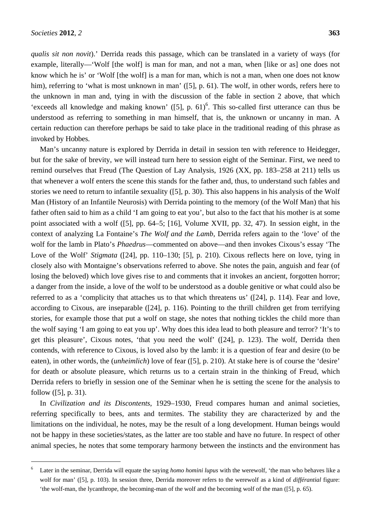*qualis sit non novit*).' Derrida reads this passage, which can be translated in a variety of ways (for example, literally—'Wolf [the wolf] is man for man, and not a man, when [like or as] one does not know which he is' or 'Wolf [the wolf] is a man for man, which is not a man, when one does not know him), referring to 'what is most unknown in man' ([5], p. 61). The wolf, in other words, refers here to the unknown in man and, tying in with the discussion of the fable in section 2 above, that which 'exceeds all knowledge and making known'  $([5]$ , p. 61)<sup>6</sup>. This so-called first utterance can thus be understood as referring to something in man himself, that is, the unknown or uncanny in man. A certain reduction can therefore perhaps be said to take place in the traditional reading of this phrase as invoked by Hobbes.

Man's uncanny nature is explored by Derrida in detail in session ten with reference to Heidegger, but for the sake of brevity, we will instead turn here to session eight of the Seminar. First, we need to remind ourselves that Freud (The Question of Lay Analysis, 1926 (XX, pp. 183–258 at 211) tells us that whenever a wolf enters the scene this stands for the father and, thus, to understand such fables and stories we need to return to infantile sexuality ([5], p. 30). This also happens in his analysis of the Wolf Man (History of an Infantile Neurosis) with Derrida pointing to the memory (of the Wolf Man) that his father often said to him as a child 'I am going to eat you', but also to the fact that his mother is at some point associated with a wolf ([5], pp. 64–5; [16], Volume XVII, pp. 32, 47). In session eight, in the context of analyzing La Fontaine's *The Wolf and the Lamb*, Derrida refers again to the 'love' of the wolf for the lamb in Plato's *Phaedrus*—commented on above—and then invokes Cixous's essay 'The Love of the Wolf' *Stigmata* ([24], pp. 110–130; [5], p. 210). Cixous reflects here on love, tying in closely also with Montaigne's observations referred to above. She notes the pain, anguish and fear (of losing the beloved) which love gives rise to and comments that it invokes an ancient, forgotten horror; a danger from the inside, a love of the wolf to be understood as a double genitive or what could also be referred to as a 'complicity that attaches us to that which threatens us' ([24], p. 114). Fear and love, according to Cixous, are inseparable ([24], p. 116). Pointing to the thrill children get from terrifying stories, for example those that put a wolf on stage, she notes that nothing tickles the child more than the wolf saying 'I am going to eat you up'. Why does this idea lead to both pleasure and terror? 'It's to get this pleasure', Cixous notes, 'that you need the wolf' ([24], p. 123). The wolf, Derrida then contends, with reference to Cixous, is loved also by the lamb: it is a question of fear and desire (to be eaten), in other words, the (*unheimlich*) love of fear ([5], p. 210). At stake here is of course the 'desire' for death or absolute pleasure, which returns us to a certain strain in the thinking of Freud, which Derrida refers to briefly in session one of the Seminar when he is setting the scene for the analysis to follow ([5], p. 31).

In *Civilization and its Discontents*, 1929–1930, Freud compares human and animal societies, referring specifically to bees, ants and termites. The stability they are characterized by and the limitations on the individual, he notes, may be the result of a long development. Human beings would not be happy in these societies/states, as the latter are too stable and have no future. In respect of other animal species, he notes that some temporary harmony between the instincts and the environment has

<sup>6</sup> Later in the seminar, Derrida will equate the saying *homo homini lupus* with the werewolf, 'the man who behaves like a wolf for man' ([5], p. 103). In session three, Derrida moreover refers to the werewolf as a kind of *différantial* figure: 'the wolf-man, the lycanthrope, the becoming-man of the wolf and the becoming wolf of the man ([5], p. 65).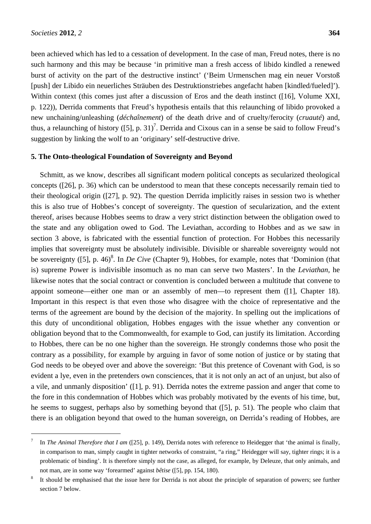been achieved which has led to a cessation of development. In the case of man, Freud notes, there is no such harmony and this may be because 'in primitive man a fresh access of libido kindled a renewed burst of activity on the part of the destructive instinct' ('Beim Urmenschen mag ein neuer Vorstoß [push] der Libido ein neuerliches Sträuben des Destruktionstriebes angefacht haben [kindled/fueled]'). Within context (this comes just after a discussion of Eros and the death instinct ([16], Volume XXI, p. 122)), Derrida comments that Freud's hypothesis entails that this relaunching of libido provoked a new unchaining/unleashing (*déchaînement*) of the death drive and of cruelty/ferocity (*cruauté*) and, thus, a relaunching of history ([5], p. 31)<sup>7</sup>. Derrida and Cixous can in a sense be said to follow Freud's suggestion by linking the wolf to an 'originary' self-destructive drive.

#### **5. The Onto-theological Foundation of Sovereignty and Beyond**

Schmitt, as we know, describes all significant modern political concepts as secularized theological concepts ([26], p. 36) which can be understood to mean that these concepts necessarily remain tied to their theological origin ([27], p. 92). The question Derrida implicitly raises in session two is whether this is also true of Hobbes's concept of sovereignty. The question of secularization, and the extent thereof, arises because Hobbes seems to draw a very strict distinction between the obligation owed to the state and any obligation owed to God. The Leviathan, according to Hobbes and as we saw in section 3 above, is fabricated with the essential function of protection. For Hobbes this necessarily implies that sovereignty must be absolutely indivisible. Divisible or shareable sovereignty would not be sovereignty ([5], p. 46)<sup>8</sup>. In *De Cive* (Chapter 9), Hobbes, for example, notes that 'Dominion (that is) supreme Power is indivisible insomuch as no man can serve two Masters'. In the *Leviathan,* he likewise notes that the social contract or convention is concluded between a multitude that convene to appoint someone—either one man or an assembly of men—to represent them ([1], Chapter 18). Important in this respect is that even those who disagree with the choice of representative and the terms of the agreement are bound by the decision of the majority. In spelling out the implications of this duty of unconditional obligation, Hobbes engages with the issue whether any convention or obligation beyond that to the Commonwealth, for example to God, can justify its limitation. According to Hobbes, there can be no one higher than the sovereign. He strongly condemns those who posit the contrary as a possibility, for example by arguing in favor of some notion of justice or by stating that God needs to be obeyed over and above the sovereign: 'But this pretence of Covenant with God, is so evident a lye, even in the pretenders own consciences, that it is not only an act of an unjust, but also of a vile, and unmanly disposition' ([1], p. 91). Derrida notes the extreme passion and anger that come to the fore in this condemnation of Hobbes which was probably motivated by the events of his time, but, he seems to suggest, perhaps also by something beyond that ([5], p. 51). The people who claim that there is an obligation beyond that owed to the human sovereign, on Derrida's reading of Hobbes, are

<sup>7</sup> In *The Animal Therefore that I am* ([25], p. 149), Derrida notes with reference to Heidegger that 'the animal is finally, in comparison to man, simply caught in tighter networks of constraint, "a ring," Heidegger will say, tighter rings; it is a problematic of binding'. It is therefore simply not the case, as alleged, for example, by Deleuze, that only animals, and not man, are in some way 'forearmed' against *bêtise* ([5], pp. 154, 180).

<sup>8</sup> It should be emphasised that the issue here for Derrida is not about the principle of separation of powers; see further section 7 below.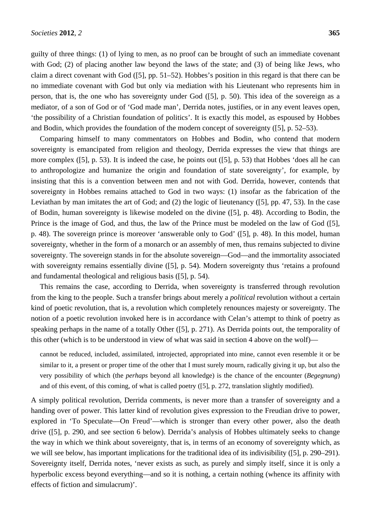guilty of three things: (1) of lying to men, as no proof can be brought of such an immediate covenant with God; (2) of placing another law beyond the laws of the state; and (3) of being like Jews, who claim a direct covenant with God ([5], pp. 51–52). Hobbes's position in this regard is that there can be no immediate covenant with God but only via mediation with his Lieutenant who represents him in person, that is, the one who has sovereignty under God ([5], p. 50). This idea of the sovereign as a mediator, of a son of God or of 'God made man', Derrida notes, justifies, or in any event leaves open, 'the possibility of a Christian foundation of politics'. It is exactly this model, as espoused by Hobbes and Bodin, which provides the foundation of the modern concept of sovereignty ([5], p. 52–53).

Comparing himself to many commentators on Hobbes and Bodin, who contend that modern sovereignty is emancipated from religion and theology, Derrida expresses the view that things are more complex ([5], p. 53). It is indeed the case, he points out ([5], p. 53) that Hobbes 'does all he can to anthropologize and humanize the origin and foundation of state sovereignty', for example, by insisting that this is a convention between men and not with God. Derrida, however, contends that sovereignty in Hobbes remains attached to God in two ways: (1) insofar as the fabrication of the Leviathan by man imitates the art of God; and (2) the logic of lieutenancy ([5], pp. 47, 53). In the case of Bodin, human sovereignty is likewise modeled on the divine ([5], p. 48). According to Bodin, the Prince is the image of God, and thus, the law of the Prince must be modeled on the law of God ([5], p. 48). The sovereign prince is moreover 'answerable only to God' ([5], p. 48). In this model, human sovereignty, whether in the form of a monarch or an assembly of men, thus remains subjected to divine sovereignty. The sovereign stands in for the absolute sovereign—God—and the immortality associated with sovereignty remains essentially divine ([5], p. 54). Modern sovereignty thus 'retains a profound and fundamental theological and religious basis ([5], p. 54).

This remains the case, according to Derrida, when sovereignty is transferred through revolution from the king to the people. Such a transfer brings about merely a *political* revolution without a certain kind of poetic revolution, that is, a revolution which completely renounces majesty or sovereignty. The notion of a poetic revolution invoked here is in accordance with Celan's attempt to think of poetry as speaking perhaps in the name of a totally Other ([5], p. 271). As Derrida points out, the temporality of this other (which is to be understood in view of what was said in section 4 above on the wolf)—

cannot be reduced, included, assimilated, introjected, appropriated into mine, cannot even resemble it or be similar to it, a present or proper time of the other that I must surely mourn, radically giving it up, but also the very possibility of which (the *perhaps* beyond all knowledge) is the chance of the encounter (*Begegnung*) and of this event, of this coming, of what is called poetry ([5], p. 272, translation slightly modified).

A simply political revolution, Derrida comments, is never more than a transfer of sovereignty and a handing over of power. This latter kind of revolution gives expression to the Freudian drive to power, explored in 'To Speculate—On Freud'—which is stronger than every other power, also the death drive ([5], p. 290, and see section 6 below). Derrida's analysis of Hobbes ultimately seeks to change the way in which we think about sovereignty, that is, in terms of an economy of sovereignty which, as we will see below, has important implications for the traditional idea of its indivisibility ([5], p. 290–291). Sovereignty itself, Derrida notes, 'never exists as such, as purely and simply itself, since it is only a hyperbolic excess beyond everything—and so it is nothing, a certain nothing (whence its affinity with effects of fiction and simulacrum)'.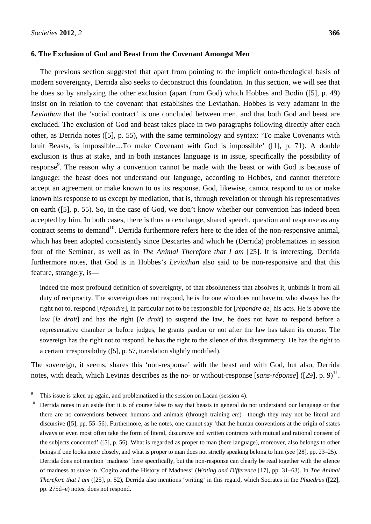### **6. The Exclusion of God and Beast from the Covenant Amongst Men**

The previous section suggested that apart from pointing to the implicit onto-theological basis of modern sovereignty, Derrida also seeks to deconstruct this foundation. In this section, we will see that he does so by analyzing the other exclusion (apart from God) which Hobbes and Bodin ([5], p. 49) insist on in relation to the covenant that establishes the Leviathan. Hobbes is very adamant in the *Leviathan* that the 'social contract' is one concluded between men, and that both God and beast are excluded. The exclusion of God and beast takes place in two paragraphs following directly after each other, as Derrida notes ([5], p. 55), with the same terminology and syntax: 'To make Covenants with bruit Beasts, is impossible....To make Covenant with God is impossible' ([1], p. 71). A double exclusion is thus at stake, and in both instances language is in issue, specifically the possibility of response<sup>9</sup>. The reason why a convention cannot be made with the beast or with God is because of language: the beast does not understand our language, according to Hobbes, and cannot therefore accept an agreement or make known to us its response. God, likewise, cannot respond to us or make known his response to us except by mediation, that is, through revelation or through his representatives on earth ([5], p. 55). So, in the case of God, we don't know whether our convention has indeed been accepted by him. In both cases, there is thus no exchange, shared speech, question and response as any contract seems to demand<sup>10</sup>. Derrida furthermore refers here to the idea of the non-responsive animal, which has been adopted consistently since Descartes and which he (Derrida) problematizes in session four of the Seminar, as well as in *The Animal Therefore that I am* [25]. It is interesting, Derrida furthermore notes, that God is in Hobbes's *Leviathan* also said to be non-responsive and that this feature, strangely, is—

indeed the most profound definition of sovereignty, of that absoluteness that absolves it, unbinds it from all duty of reciprocity. The sovereign does not respond, he is the one who does not have to, who always has the right not to, respond [*répondre*], in particular not to be responsible for [*répondre de*] his acts. He is above the law [*le droit*] and has the right [*le droit*] to suspend the law, he does not have to respond before a representative chamber or before judges, he grants pardon or not after the law has taken its course. The sovereign has the right not to respond, he has the right to the silence of this dissymmetry. He has the right to a certain irresponsibility ([5], p. 57, translation slightly modified).

The sovereign, it seems, shares this 'non-response' with the beast and with God, but also, Derrida notes, with death, which Levinas describes as the no- or without-response [sans-réponse] ([29], p. 9)<sup>11</sup>.

<sup>9</sup> This issue is taken up again, and problematized in the session on Lacan (session 4).

 $10$  Derrida notes in an aside that it is of course false to say that beasts in general do not understand our language or that there are no conventions between humans and animals (through training *etc*)—though they may not be literal and discursive ([5], pp. 55–56). Furthermore, as he notes, one cannot say 'that the human conventions at the origin of states always or even most often take the form of literal, discursive and written contracts with mutual and rational consent of the subjects concerned' ([5], p. 56). What is regarded as proper to man (here language), moreover, also belongs to other beings if one looks more closely, and what is proper to man does not strictly speaking belong to him (see [28], pp. 23–25).

 $11$  Derrida does not mention 'madness' here specifically, but the non-response can clearly be read together with the silence of madness at stake in 'Cogito and the History of Madness' (*Writing and Difference* [17], pp. 31–63). In *The Animal Therefore that I am* ([25], p. 52), Derrida also mentions 'writing' in this regard, which Socrates in the *Phaedrus* ([22], pp. 275d–e) notes, does not respond.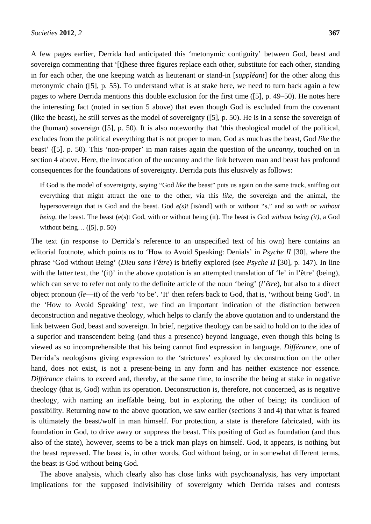A few pages earlier, Derrida had anticipated this 'metonymic contiguity' between God, beast and sovereign commenting that '[t]hese three figures replace each other, substitute for each other, standing in for each other, the one keeping watch as lieutenant or stand-in [*suppléant*] for the other along this metonymic chain ([5], p. 55). To understand what is at stake here, we need to turn back again a few pages to where Derrida mentions this double exclusion for the first time ([5], p. 49–50). He notes here the interesting fact (noted in section 5 above) that even though God is excluded from the covenant (like the beast), he still serves as the model of sovereignty ([5], p. 50). He is in a sense the sovereign of the (human) sovereign ([5], p. 50). It is also noteworthy that 'this theological model of the political, excludes from the political everything that is not proper to man, God as much as the beast, God *like* the beast' ([5]. p. 50). This 'non-proper' in man raises again the question of the *uncanny*, touched on in section 4 above. Here, the invocation of the uncanny and the link between man and beast has profound consequences for the foundations of sovereignty. Derrida puts this elusively as follows:

If God is the model of sovereignty, saying "God *like* the beast" puts us again on the same track, sniffing out everything that might attract the one to the other, via this *like*, the sovereign and the animal, the hypersovereign that is God and the beast. God *e(s)t* [is/and] with or without "s," and so *with or without being*, the beast. The beast (e(s)t God, with or without being (it). The beast is God *without being (it)*, a God without being...  $(5]$ , p. 50)

The text (in response to Derrida's reference to an unspecified text of his own) here contains an editorial footnote, which points us to 'How to Avoid Speaking: Denials' in *Psyche II* [30], where the phrase 'God without Being' (*Dieu sans l'être*) is briefly explored (see *Psyche II* [30], p. 147). In line with the latter text, the '(it)' in the above quotation is an attempted translation of 'le' in l'être' (being), which can serve to refer not only to the definite article of the noun 'being' (*l'être*), but also to a direct object pronoun (*le*—it) of the verb 'to be'. 'It' then refers back to God, that is, 'without being God'. In the 'How to Avoid Speaking' text, we find an important indication of the distinction between deconstruction and negative theology, which helps to clarify the above quotation and to understand the link between God, beast and sovereign. In brief, negative theology can be said to hold on to the idea of a superior and transcendent being (and thus a presence) beyond language, even though this being is viewed as so incomprehensible that his being cannot find expression in language. *Différance*, one of Derrida's neologisms giving expression to the 'strictures' explored by deconstruction on the other hand, does not exist, is not a present-being in any form and has neither existence nor essence. *Différance* claims to exceed and, thereby, at the same time, to inscribe the being at stake in negative theology (that is, God) within its operation. Deconstruction is, therefore, not concerned, as is negative theology, with naming an ineffable being, but in exploring the other of being; its condition of possibility. Returning now to the above quotation, we saw earlier (sections 3 and 4) that what is feared is ultimately the beast/wolf in man himself. For protection, a state is therefore fabricated, with its foundation in God, to drive away or suppress the beast. This positing of God as foundation (and thus also of the state), however, seems to be a trick man plays on himself. God, it appears, is nothing but the beast repressed. The beast is, in other words, God without being, or in somewhat different terms, the beast is God without being God.

The above analysis, which clearly also has close links with psychoanalysis, has very important implications for the supposed indivisibility of sovereignty which Derrida raises and contests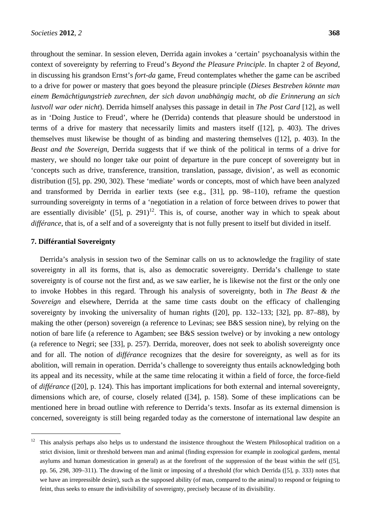throughout the seminar. In session eleven, Derrida again invokes a 'certain' psychoanalysis within the context of sovereignty by referring to Freud's *Beyond the Pleasure Principle*. In chapter 2 of *Beyond*, in discussing his grandson Ernst's *fort-da* game, Freud contemplates whether the game can be ascribed to a drive for power or mastery that goes beyond the pleasure principle (*Dieses Bestreben könnte man einem Bemächtigungstrieb zurechnen, der sich davon unabhängig macht, ob die Erinnerung an sich lustvoll war oder nicht*). Derrida himself analyses this passage in detail in *The Post Card* [12], as well as in 'Doing Justice to Freud', where he (Derrida) contends that pleasure should be understood in terms of a drive for mastery that necessarily limits and masters itself ([12], p. 403). The drives themselves must likewise be thought of as binding and mastering themselves ([12], p. 403). In the *Beast and the Sovereign*, Derrida suggests that if we think of the political in terms of a drive for mastery, we should no longer take our point of departure in the pure concept of sovereignty but in 'concepts such as drive, transference, transition, translation, passage, division', as well as economic distribution ([5], pp. 290, 302). These 'mediate' words or concepts, most of which have been analyzed and transformed by Derrida in earlier texts (see e.g., [31], pp. 98–110), reframe the question surrounding sovereignty in terms of a 'negotiation in a relation of force between drives to power that are essentially divisible' ([5], p. 291)<sup>12</sup>. This is, of course, another way in which to speak about *différance*, that is, of a self and of a sovereignty that is not fully present to itself but divided in itself.

# **7. Différantial Sovereignty**

Derrida's analysis in session two of the Seminar calls on us to acknowledge the fragility of state sovereignty in all its forms, that is, also as democratic sovereignty. Derrida's challenge to state sovereignty is of course not the first and, as we saw earlier, he is likewise not the first or the only one to invoke Hobbes in this regard. Through his analysis of sovereignty, both in *The Beast & the Sovereign* and elsewhere, Derrida at the same time casts doubt on the efficacy of challenging sovereignty by invoking the universality of human rights ([20], pp. 132–133; [32], pp. 87–88), by making the other (person) sovereign (a reference to Levinas; see B&S session nine), by relying on the notion of bare life (a reference to Agamben; see B&S session twelve) or by invoking a new ontology (a reference to Negri; see [33], p. 257). Derrida, moreover, does not seek to abolish sovereignty once and for all. The notion of *différance* recognizes that the desire for sovereignty, as well as for its abolition, will remain in operation. Derrida's challenge to sovereignty thus entails acknowledging both its appeal and its necessity, while at the same time relocating it within a field of force, the force-field of *différance* ([20], p. 124). This has important implications for both external and internal sovereignty, dimensions which are, of course, closely related ([34], p. 158). Some of these implications can be mentioned here in broad outline with reference to Derrida's texts. Insofar as its external dimension is concerned, sovereignty is still being regarded today as the cornerstone of international law despite an

 $12$  This analysis perhaps also helps us to understand the insistence throughout the Western Philosophical tradition on a strict division, limit or threshold between man and animal (finding expression for example in zoological gardens, mental asylums and human domestication in general) as at the forefront of the suppression of the beast within the self ([5], pp. 56, 298, 309–311). The drawing of the limit or imposing of a threshold (for which Derrida ([5], p. 333) notes that we have an irrepressible desire), such as the supposed ability (of man, compared to the animal) to respond or feigning to feint, thus seeks to ensure the indivisibility of sovereignty, precisely because of its divisibility.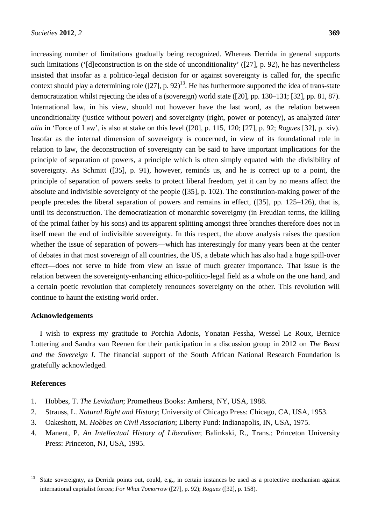increasing number of limitations gradually being recognized. Whereas Derrida in general supports such limitations ('[d]econstruction is on the side of unconditionality' ([27], p. 92), he has nevertheless insisted that insofar as a politico-legal decision for or against sovereignty is called for, the specific context should play a determining role  $([27], p. 92)^{13}$ . He has furthermore supported the idea of trans-state democratization whilst rejecting the idea of a (sovereign) world state ([20], pp. 130–131; [32], pp. 81, 87). International law, in his view, should not however have the last word, as the relation between unconditionality (justice without power) and sovereignty (right, power or potency), as analyzed *inter alia* in 'Force of Law', is also at stake on this level ([20], p. 115, 120; [27], p. 92; *Rogues* [32], p. xiv). Insofar as the internal dimension of sovereignty is concerned, in view of its foundational role in relation to law, the deconstruction of sovereignty can be said to have important implications for the principle of separation of powers, a principle which is often simply equated with the divisibility of sovereignty. As Schmitt ([35], p. 91), however, reminds us, and he is correct up to a point, the principle of separation of powers seeks to protect liberal freedom, yet it can by no means affect the absolute and indivisible sovereignty of the people ([35], p. 102). The constitution-making power of the people precedes the liberal separation of powers and remains in effect, ([35], pp. 125–126), that is, until its deconstruction. The democratization of monarchic sovereignty (in Freudian terms, the killing of the primal father by his sons) and its apparent splitting amongst three branches therefore does not in itself mean the end of indivisible sovereignty. In this respect, the above analysis raises the question whether the issue of separation of powers—which has interestingly for many years been at the center of debates in that most sovereign of all countries, the US, a debate which has also had a huge spill-over effect—does not serve to hide from view an issue of much greater importance. That issue is the relation between the sovereignty-enhancing ethico-politico-legal field as a whole on the one hand, and a certain poetic revolution that completely renounces sovereignty on the other. This revolution will continue to haunt the existing world order.

## **Acknowledgements**

I wish to express my gratitude to Porchia Adonis, Yonatan Fessha, Wessel Le Roux, Bernice Lottering and Sandra van Reenen for their participation in a discussion group in 2012 on *The Beast and the Sovereign I*. The financial support of the South African National Research Foundation is gratefully acknowledged.

# **References**

- 1. Hobbes, T. *The Leviathan*; Prometheus Books: Amherst, NY, USA, 1988.
- 2. Strauss, L. *Natural Right and History*; University of Chicago Press: Chicago, CA, USA, 1953.
- 3. Oakeshott, M. *Hobbes on Civil Association*; Liberty Fund: Indianapolis, IN, USA, 1975.
- 4. Manent, P. *An Intellectual History of Liberalism*; Balinkski, R., Trans.; Princeton University Press: Princeton, NJ, USA, 1995.

<sup>&</sup>lt;sup>13</sup> State sovereignty, as Derrida points out, could, e.g., in certain instances be used as a protective mechanism against international capitalist forces; *For What Tomorrow* ([27], p. 92); *Rogues* ([32], p. 158).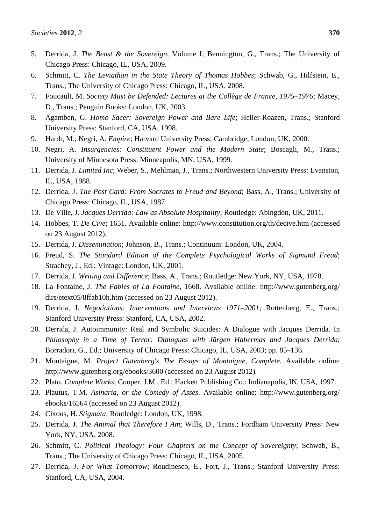- 5. Derrida, J. *The Beast & the Sovereign*, Volume I; Bennington, G., Trans.; The University of Chicago Press: Chicago, IL, USA, 2009.
- 6. Schmitt, C. *The Leviathan in the State Theory of Thomas Hobbes*; Schwab, G., Hilfstein, E., Trans.; The University of Chicago Press: Chicago, IL, USA, 2008.
- 7. Foucault, M. *Society Must be Defended: Lectures at the Collège de France, 1975–1976*; Macey, D., Trans.; Penguin Books: London, UK, 2003.
- 8. Agamben, G. *Homo Sacer: Sovereign Power and Bare Life*; Heller-Roazen, Trans.; Stanford University Press: Stanford, CA, USA, 1998.
- 9. Hardt, M.; Negri, A. *Empire*; Harvard University Press: Cambridge, London, UK, 2000.
- 10. Negri, A. *Insurgencies: Constituent Power and the Modern State*; Boscagli, M., Trans.; University of Minnesota Press: Minneapolis, MN, USA, 1999.
- 11. Derrida, J. *Limited Inc*; Weber, S., Mehlman, J., Trans.; Northwestern University Press: Evanston, IL, USA, 1988.
- 12. Derrida, J. *The Post Card: From Socrates to Freud and Beyond*; Bass, A., Trans.; University of Chicago Press: Chicago, IL, USA, 1987.
- 13. De Ville, J. *Jacques Derrida: Law as Absolute Hospitality*; Routledge: Abingdon, UK, 2011.
- 14. Hobbes, T. *De Cive*; 1651. Available online: http://www.constitution.org/th/decive.htm (accessed on 23 August 2012).
- 15. Derrida, J. *Dissemination*; Johnson, B., Trans.; Continuum: London, UK, 2004.
- 16. Freud, S. *The Standard Edition of the Complete Psychological Works of Sigmund Freud*; Strachey, J., Ed.; Vintage: London, UK, 2001.
- 17. Derrida, J. *Writing and Difference*; Bass, A., Trans.; Routledge: New York, NY, USA, 1978.
- 18. La Fontaine, J. *The Fables of La Fontaine*, 1668. Available online: http://www.gutenberg.org/ dirs/etext05/8ffab10h.htm (accessed on 23 August 2012).
- 19. Derrida, J. *Negotiations: Interventions and Interviews 1971–2001*; Rottenberg, E., Trans.; Stanford University Press: Stanford, CA, USA, 2002.
- 20. Derrida, J. Autoimmunity: Real and Symbolic Suicides: A Dialogue with Jacques Derrida. In *Philosophy in a Time of Terror: Dialogues with Jürgen Habermas and Jacques Derrida*; Borradori, G., Ed.; University of Chicago Press: Chicago, IL, USA, 2003; pp. 85–136.
- 21. Montaigne, M. *Project Gutenberg's The Essays of Montaigne, Complete.* Available online: http://www.gutenberg.org/ebooks/3600 (accessed on 23 August 2012)*.*
- 22. Plato. *Complete Works*; Cooper, J.M., Ed.; Hackett Publishing Co.: Indianapolis, IN, USA, 1997.
- 23. Plautus, T.M. *Asinaria, or the Comedy of Asses*. Available online: http://www.gutenberg.org/ ebooks/16564 (accessed on 23 August 2012).
- 24. Cixous, H. *Stigmata*; Routledge: London, UK, 1998.
- 25. Derrida, J. *The Animal that Therefore I Am*; Wills, D., Trans.; Fordham University Press: New York, NY, USA, 2008.
- 26. Schmitt, C. *Political Theology: Four Chapters on the Concept of Sovereignty*; Schwab, B., Trans.; The University of Chicago Press: Chicago, IL, USA, 2005.
- 27. Derrida, J. *For What Tomorrow*; Roudinesco, E., Fort, J., Trans.; Stanford University Press: Stanford, CA, USA, 2004.